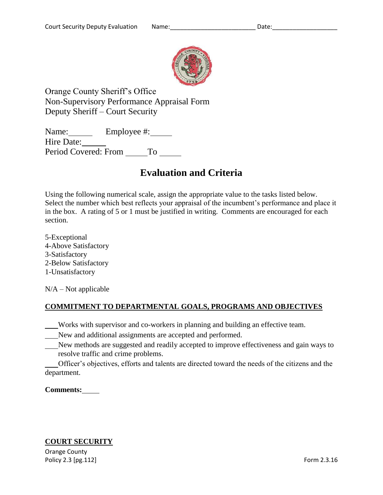

Orange County Sheriff's Office Non-Supervisory Performance Appraisal Form Deputy Sheriff – Court Security

Name: Employee #: Hire Date: Period Covered: From \_ To

# **Evaluation and Criteria**

Using the following numerical scale, assign the appropriate value to the tasks listed below. Select the number which best reflects your appraisal of the incumbent's performance and place it in the box. A rating of 5 or 1 must be justified in writing. Comments are encouraged for each section.

5-Exceptional 4-Above Satisfactory 3-Satisfactory 2-Below Satisfactory 1-Unsatisfactory

 $N/A - Not$  applicable

# **COMMITMENT TO DEPARTMENTAL GOALS, PROGRAMS AND OBJECTIVES**

Works with supervisor and co-workers in planning and building an effective team.

- New and additional assignments are accepted and performed.
- New methods are suggested and readily accepted to improve effectiveness and gain ways to resolve traffic and crime problems.

Officer's objectives, efforts and talents are directed toward the needs of the citizens and the department.

## **Comments:**

## **COURT SECURITY**

Orange County Policy 2.3 [pg.112] Form 2.3.16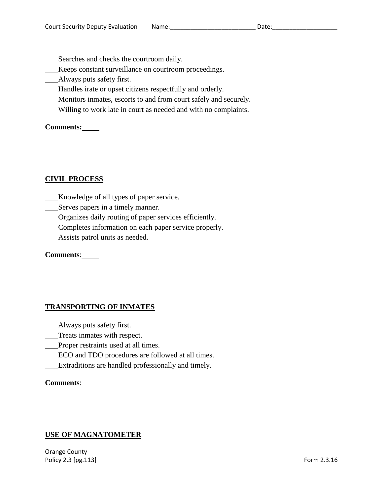Searches and checks the courtroom daily.

- Keeps constant surveillance on courtroom proceedings.
- Always puts safety first.
- Handles irate or upset citizens respectfully and orderly.
- Monitors inmates, escorts to and from court safely and securely.
- Willing to work late in court as needed and with no complaints.

**Comments:**

## **CIVIL PROCESS**

- Knowledge of all types of paper service.
- Serves papers in a timely manner.
- Organizes daily routing of paper services efficiently.
- Completes information on each paper service properly.
- Assists patrol units as needed.

## **Comments**:

## **TRANSPORTING OF INMATES**

- Always puts safety first.
- Treats inmates with respect.
- Proper restraints used at all times.
- ECO and TDO procedures are followed at all times.
- Extraditions are handled professionally and timely.

## **Comments**:

## **USE OF MAGNATOMETER**

Orange County Policy 2.3 [pg.113] Form 2.3.16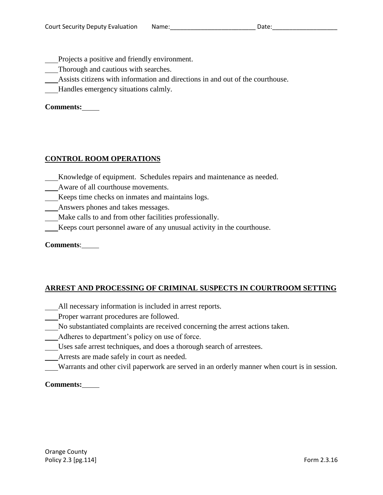- Projects a positive and friendly environment.
- Thorough and cautious with searches.
- Assists citizens with information and directions in and out of the courthouse.
- Handles emergency situations calmly.

## **Comments:**

## **CONTROL ROOM OPERATIONS**

- Knowledge of equipment. Schedules repairs and maintenance as needed.
- Aware of all courthouse movements.
- Keeps time checks on inmates and maintains logs.
- Answers phones and takes messages.
- Make calls to and from other facilities professionally.
- Keeps court personnel aware of any unusual activity in the courthouse.

#### **Comments**:

## **ARREST AND PROCESSING OF CRIMINAL SUSPECTS IN COURTROOM SETTING**

- All necessary information is included in arrest reports.
- Proper warrant procedures are followed.
- No substantiated complaints are received concerning the arrest actions taken.
- Adheres to department's policy on use of force.
- Uses safe arrest techniques, and does a thorough search of arrestees.
- Arrests are made safely in court as needed.
- Warrants and other civil paperwork are served in an orderly manner when court is in session.

## **Comments:**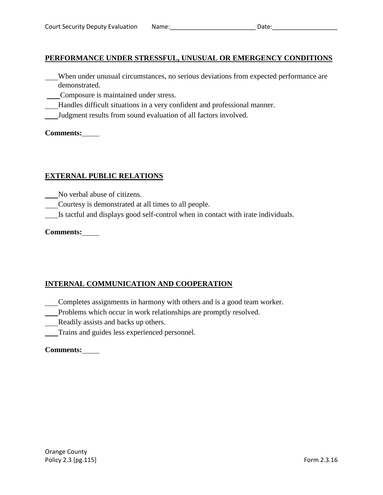## **PERFORMANCE UNDER STRESSFUL, UNUSUAL OR EMERGENCY CONDITIONS**

- When under unusual circumstances, no serious deviations from expected performance are demonstrated.
- Composure is maintained under stress.
- Handles difficult situations in a very confident and professional manner.
- Judgment results from sound evaluation of all factors involved.

#### **Comments:**

## **EXTERNAL PUBLIC RELATIONS**

- No verbal abuse of citizens.
- Courtesy is demonstrated at all times to all people.
- Is tactful and displays good self-control when in contact with irate individuals.

## **Comments:**

# **INTERNAL COMMUNICATION AND COOPERATION**

- Completes assignments in harmony with others and is a good team worker.
- Problems which occur in work relationships are promptly resolved.
- Readily assists and backs up others.
- Trains and guides less experienced personnel.

## **Comments:**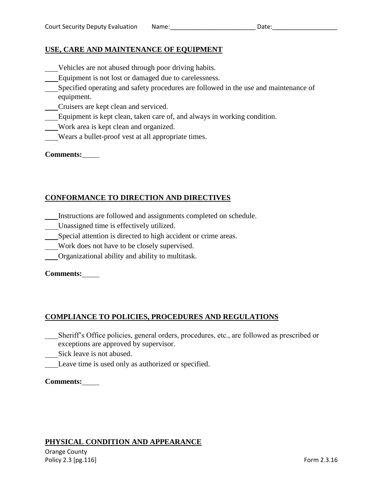## **USE, CARE AND MAINTENANCE OF EQUIPMENT**

- Vehicles are not abused through poor driving habits.
- Equipment is not lost or damaged due to carelessness.
- Specified operating and safety procedures are followed in the use and maintenance of equipment.
- Cruisers are kept clean and serviced.
- Equipment is kept clean, taken care of, and always in working condition.
- Work area is kept clean and organized.
- Wears a bullet-proof vest at all appropriate times.

## **Comments:**

# **CONFORMANCE TO DIRECTION AND DIRECTIVES**

- Instructions are followed and assignments completed on schedule.
- Unassigned time is effectively utilized.
- Special attention is directed to high accident or crime areas.
- Work does not have to be closely supervised.
- Organizational ability and ability to multitask.

## **Comments:**

## **COMPLIANCE TO POLICIES, PROCEDURES AND REGULATIONS**

- Sheriff's Office policies, general orders, procedures, etc., are followed as prescribed or exceptions are approved by supervisor.
- Sick leave is not abused.
- Leave time is used only as authorized or specified.

## **Comments:**

## **PHYSICAL CONDITION AND APPEARANCE**

Orange County Policy 2.3 [pg.116] Form 2.3.16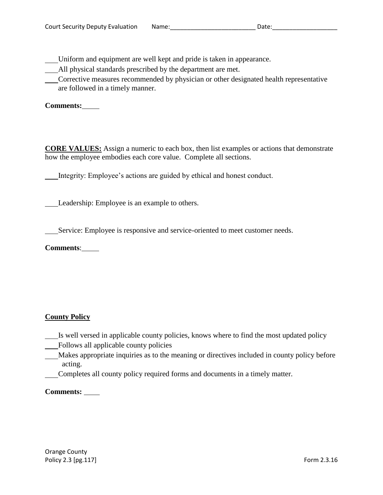Uniform and equipment are well kept and pride is taken in appearance.

All physical standards prescribed by the department are met.

Corrective measures recommended by physician or other designated health representative are followed in a timely manner.

**Comments:**

**CORE VALUES:** Assign a numeric to each box, then list examples or actions that demonstrate how the employee embodies each core value. Complete all sections.

Integrity: Employee's actions are guided by ethical and honest conduct.

Leadership: Employee is an example to others.

Service: Employee is responsive and service-oriented to meet customer needs.

**Comments**:

# **County Policy**

- Is well versed in applicable county policies, knows where to find the most updated policy
- Follows all applicable county policies
- Makes appropriate inquiries as to the meaning or directives included in county policy before acting.
- Completes all county policy required forms and documents in a timely matter.

# **Comments:**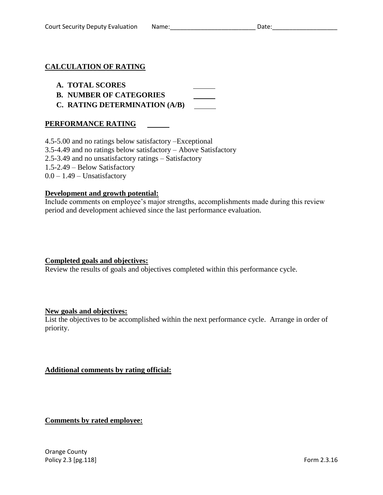## **CALCULATION OF RATING**

## **A. TOTAL SCORES**

- **B. NUMBER OF CATEGORIES**
- **C. RATING DETERMINATION (A/B)**

## **PERFORMANCE RATING**

4.5-5.00 and no ratings below satisfactory –Exceptional 3.5-4.49 and no ratings below satisfactory – Above Satisfactory 2.5-3.49 and no unsatisfactory ratings – Satisfactory 1.5-2.49 – Below Satisfactory  $0.0 - 1.49$  – Unsatisfactory

#### **Development and growth potential:**

Include comments on employee's major strengths, accomplishments made during this review period and development achieved since the last performance evaluation.

## **Completed goals and objectives:**

Review the results of goals and objectives completed within this performance cycle.

#### **New goals and objectives:**

List the objectives to be accomplished within the next performance cycle. Arrange in order of priority.

## **Additional comments by rating official:**

## **Comments by rated employee:**